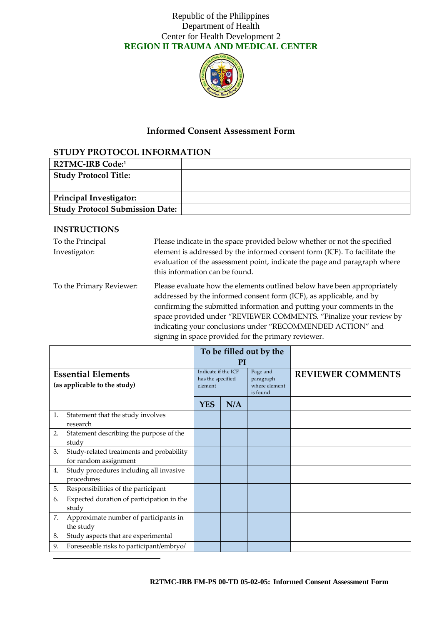

# **Informed Consent Assessment Form**

# **STUDY PROTOCOL INFORMATION**

| <b>R2TMC-IRB Code:1</b>                |  |
|----------------------------------------|--|
| <b>Study Protocol Title:</b>           |  |
|                                        |  |
| Principal Investigator:                |  |
| <b>Study Protocol Submission Date:</b> |  |

#### **INSTRUCTIONS**

-

| To the Principal<br>Investigator: | Please indicate in the space provided below whether or not the specified<br>element is addressed by the informed consent form (ICF). To facilitate the<br>evaluation of the assessment point, indicate the page and paragraph where<br>this information can be found.                                                                                                                                             |
|-----------------------------------|-------------------------------------------------------------------------------------------------------------------------------------------------------------------------------------------------------------------------------------------------------------------------------------------------------------------------------------------------------------------------------------------------------------------|
| To the Primary Reviewer:          | Please evaluate how the elements outlined below have been appropriately<br>addressed by the informed consent form (ICF), as applicable, and by<br>confirming the submitted information and putting your comments in the<br>space provided under "REVIEWER COMMENTS. "Finalize your review by<br>indicating your conclusions under "RECOMMENDED ACTION" and<br>signing in space provided for the primary reviewer. |

|                                                           |                                                                   | To be filled out by the                             |     |                                                    |                          |
|-----------------------------------------------------------|-------------------------------------------------------------------|-----------------------------------------------------|-----|----------------------------------------------------|--------------------------|
|                                                           |                                                                   | PI                                                  |     |                                                    |                          |
| <b>Essential Elements</b><br>(as applicable to the study) |                                                                   | Indicate if the ICF<br>has the specified<br>element |     | Page and<br>paragraph<br>where element<br>is found | <b>REVIEWER COMMENTS</b> |
|                                                           |                                                                   | <b>YES</b>                                          | N/A |                                                    |                          |
| 1.                                                        | Statement that the study involves<br>research                     |                                                     |     |                                                    |                          |
| 2.                                                        | Statement describing the purpose of the<br>study                  |                                                     |     |                                                    |                          |
| 3.                                                        | Study-related treatments and probability<br>for random assignment |                                                     |     |                                                    |                          |
| 4.                                                        | Study procedures including all invasive<br>procedures             |                                                     |     |                                                    |                          |
| 5.                                                        | Responsibilities of the participant                               |                                                     |     |                                                    |                          |
| 6.                                                        | Expected duration of participation in the<br>study                |                                                     |     |                                                    |                          |
| 7.                                                        | Approximate number of participants in<br>the study                |                                                     |     |                                                    |                          |
| 8.                                                        | Study aspects that are experimental                               |                                                     |     |                                                    |                          |
| 9.                                                        | Foreseeable risks to participant/embryo/                          |                                                     |     |                                                    |                          |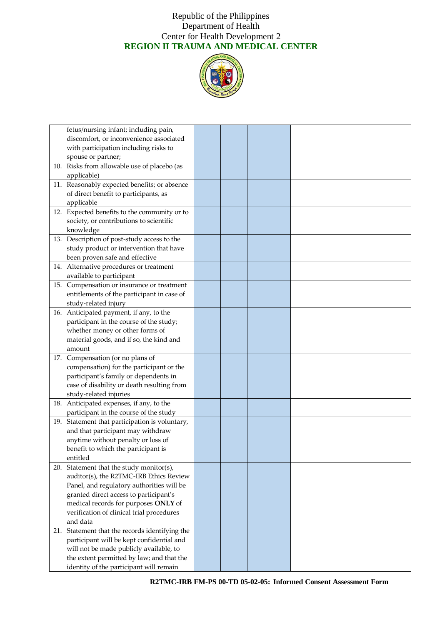

| fetus/nursing infant; including pain,          |  |  |
|------------------------------------------------|--|--|
| discomfort, or inconvenience associated        |  |  |
| with participation including risks to          |  |  |
| spouse or partner;                             |  |  |
| 10. Risks from allowable use of placebo (as    |  |  |
| applicable)                                    |  |  |
| 11. Reasonably expected benefits; or absence   |  |  |
| of direct benefit to participants, as          |  |  |
| applicable                                     |  |  |
| 12. Expected benefits to the community or to   |  |  |
| society, or contributions to scientific        |  |  |
| knowledge                                      |  |  |
| 13. Description of post-study access to the    |  |  |
| study product or intervention that have        |  |  |
| been proven safe and effective                 |  |  |
| 14. Alternative procedures or treatment        |  |  |
| available to participant                       |  |  |
| 15. Compensation or insurance or treatment     |  |  |
| entitlements of the participant in case of     |  |  |
| study-related injury                           |  |  |
| 16. Anticipated payment, if any, to the        |  |  |
| participant in the course of the study;        |  |  |
| whether money or other forms of                |  |  |
| material goods, and if so, the kind and        |  |  |
| amount                                         |  |  |
| 17. Compensation (or no plans of               |  |  |
| compensation) for the participant or the       |  |  |
| participant's family or dependents in          |  |  |
| case of disability or death resulting from     |  |  |
| study-related injuries                         |  |  |
| 18. Anticipated expenses, if any, to the       |  |  |
| participant in the course of the study         |  |  |
| 19. Statement that participation is voluntary, |  |  |
| and that participant may withdraw              |  |  |
| anytime without penalty or loss of             |  |  |
| benefit to which the participant is            |  |  |
| entitled                                       |  |  |
| 20. Statement that the study monitor(s),       |  |  |
| auditor(s), the R2TMC-IRB Ethics Review        |  |  |
| Panel, and regulatory authorities will be      |  |  |
| granted direct access to participant's         |  |  |
| medical records for purposes ONLY of           |  |  |
| verification of clinical trial procedures      |  |  |
| and data                                       |  |  |
| 21. Statement that the records identifying the |  |  |
| participant will be kept confidential and      |  |  |
| will not be made publicly available, to        |  |  |
| the extent permitted by law; and that the      |  |  |
| identity of the participant will remain        |  |  |
|                                                |  |  |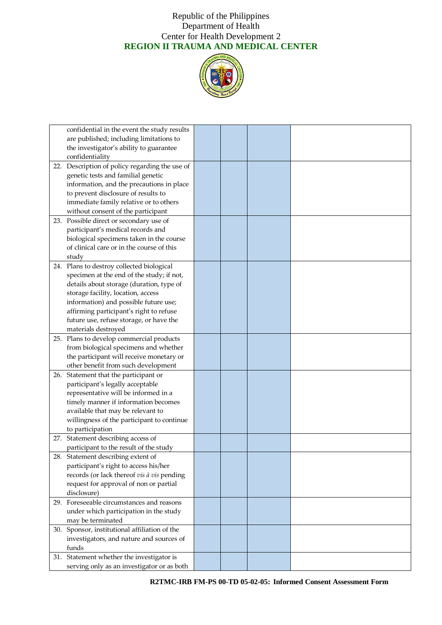

| confidential in the event the study results    |  |  |
|------------------------------------------------|--|--|
| are published; including limitations to        |  |  |
| the investigator's ability to guarantee        |  |  |
| confidentiality                                |  |  |
| 22. Description of policy regarding the use of |  |  |
| genetic tests and familial genetic             |  |  |
| information, and the precautions in place      |  |  |
| to prevent disclosure of results to            |  |  |
| immediate family relative or to others         |  |  |
| without consent of the participant             |  |  |
| 23. Possible direct or secondary use of        |  |  |
| participant's medical records and              |  |  |
| biological specimens taken in the course       |  |  |
| of clinical care or in the course of this      |  |  |
| study                                          |  |  |
| 24. Plans to destroy collected biological      |  |  |
| specimen at the end of the study; if not,      |  |  |
| details about storage (duration, type of       |  |  |
| storage facility, location, access             |  |  |
| information) and possible future use;          |  |  |
| affirming participant's right to refuse        |  |  |
| future use, refuse storage, or have the        |  |  |
| materials destroyed                            |  |  |
| 25. Plans to develop commercial products       |  |  |
| from biological specimens and whether          |  |  |
| the participant will receive monetary or       |  |  |
| other benefit from such development            |  |  |
| 26. Statement that the participant or          |  |  |
| participant's legally acceptable               |  |  |
| representative will be informed in a           |  |  |
| timely manner if information becomes           |  |  |
| available that may be relevant to              |  |  |
| willingness of the participant to continue     |  |  |
| to participation                               |  |  |
| 27. Statement describing access of             |  |  |
| participant to the result of the study         |  |  |
| 28. Statement describing extent of             |  |  |
| participant's right to access his/her          |  |  |
| records (or lack thereof vis à vis pending     |  |  |
| request for approval of non or partial         |  |  |
| disclosure)                                    |  |  |
| 29. Foreseeable circumstances and reasons      |  |  |
| under which participation in the study         |  |  |
| may be terminated                              |  |  |
| 30. Sponsor, institutional affiliation of the  |  |  |
| investigators, and nature and sources of       |  |  |
| funds                                          |  |  |
| 31. Statement whether the investigator is      |  |  |
| serving only as an investigator or as both     |  |  |